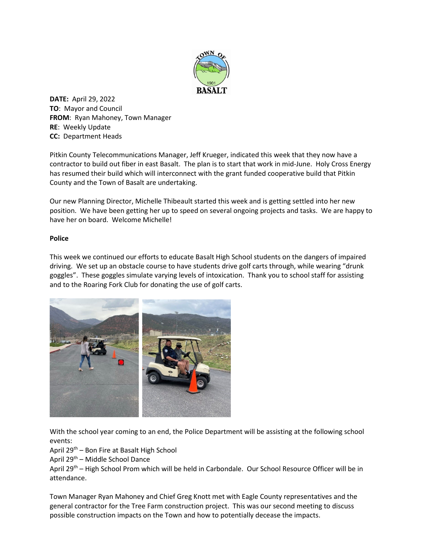

**DATE:** April 29, 2022 **TO**: Mayor and Council **FROM**: Ryan Mahoney, Town Manager **RE**: Weekly Update **CC:** Department Heads

Pitkin County Telecommunications Manager, Jeff Krueger, indicated this week that they now have a contractor to build out fiber in east Basalt. The plan is to start that work in mid-June. Holy Cross Energy has resumed their build which will interconnect with the grant funded cooperative build that Pitkin County and the Town of Basalt are undertaking.

Our new Planning Director, Michelle Thibeault started this week and is getting settled into her new position. We have been getting her up to speed on several ongoing projects and tasks. We are happy to have her on board. Welcome Michelle!

## **Police**

This week we continued our efforts to educate Basalt High School students on the dangers of impaired driving. We set up an obstacle course to have students drive golf carts through, while wearing "drunk goggles". These goggles simulate varying levels of intoxication. Thank you to school staff for assisting and to the Roaring Fork Club for donating the use of golf carts.



With the school year coming to an end, the Police Department will be assisting at the following school events:

## April 29th – Bon Fire at Basalt High School

April 29th – Middle School Dance

April 29<sup>th</sup> – High School Prom which will be held in Carbondale. Our School Resource Officer will be in attendance.

Town Manager Ryan Mahoney and Chief Greg Knott met with Eagle County representatives and the general contractor for the Tree Farm construction project. This was our second meeting to discuss possible construction impacts on the Town and how to potentially decease the impacts.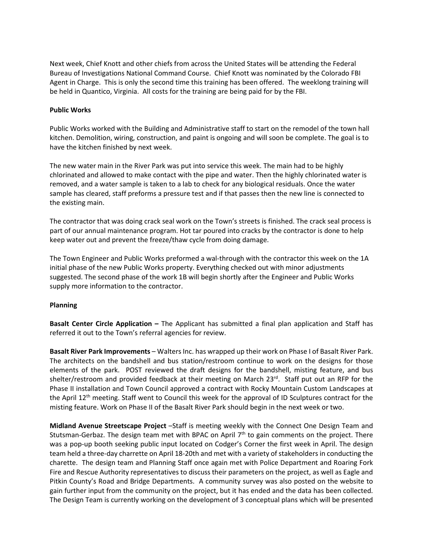Next week, Chief Knott and other chiefs from across the United States will be attending the Federal Bureau of Investigations National Command Course. Chief Knott was nominated by the Colorado FBI Agent in Charge. This is only the second time this training has been offered. The weeklong training will be held in Quantico, Virginia. All costs for the training are being paid for by the FBI.

## **Public Works**

Public Works worked with the Building and Administrative staff to start on the remodel of the town hall kitchen. Demolition, wiring, construction, and paint is ongoing and will soon be complete. The goal is to have the kitchen finished by next week.

The new water main in the River Park was put into service this week. The main had to be highly chlorinated and allowed to make contact with the pipe and water. Then the highly chlorinated water is removed, and a water sample is taken to a lab to check for any biological residuals. Once the water sample has cleared, staff preforms a pressure test and if that passes then the new line is connected to the existing main.

The contractor that was doing crack seal work on the Town's streets is finished. The crack seal process is part of our annual maintenance program. Hot tar poured into cracks by the contractor is done to help keep water out and prevent the freeze/thaw cycle from doing damage.

The Town Engineer and Public Works preformed a wal-through with the contractor this week on the 1A initial phase of the new Public Works property. Everything checked out with minor adjustments suggested. The second phase of the work 1B will begin shortly after the Engineer and Public Works supply more information to the contractor.

## **Planning**

**Basalt Center Circle Application –** The Applicant has submitted a final plan application and Staff has referred it out to the Town's referral agencies for review.

**Basalt River Park Improvements** – Walters Inc. has wrapped up their work on Phase I of Basalt River Park. The architects on the bandshell and bus station/restroom continue to work on the designs for those elements of the park. POST reviewed the draft designs for the bandshell, misting feature, and bus shelter/restroom and provided feedback at their meeting on March 23rd. Staff put out an RFP for the Phase II installation and Town Council approved a contract with Rocky Mountain Custom Landscapes at the April 12<sup>th</sup> meeting. Staff went to Council this week for the approval of ID Sculptures contract for the misting feature. Work on Phase II of the Basalt River Park should begin in the next week or two.

**Midland Avenue Streetscape Project** –Staff is meeting weekly with the Connect One Design Team and Stutsman-Gerbaz. The design team met with BPAC on April  $7<sup>th</sup>$  to gain comments on the project. There was a pop-up booth seeking public input located on Codger's Corner the first week in April. The design team held a three-day charrette on April 18-20th and met with a variety of stakeholders in conducting the charette. The design team and Planning Staff once again met with Police Department and Roaring Fork Fire and Rescue Authority representatives to discuss their parameters on the project, as well as Eagle and Pitkin County's Road and Bridge Departments. A community survey was also posted on the website to gain further input from the community on the project, but it has ended and the data has been collected. The Design Team is currently working on the development of 3 conceptual plans which will be presented